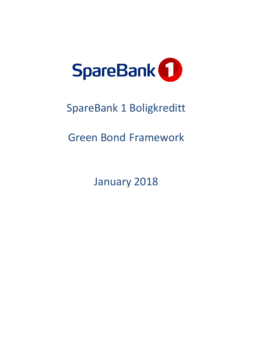

# SpareBank 1 Boligkreditt

## Green Bond Framework

January 2018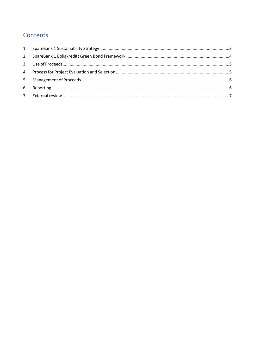### Contents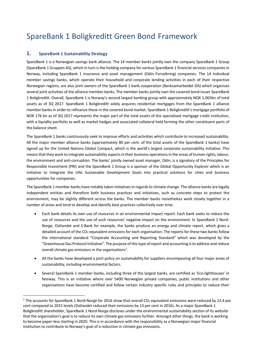### SpareBank 1 Boligkreditt Green Bond Framework

#### <span id="page-2-0"></span>**1. SpareBank 1 Sustainability Strategy**

1

SpareBank 1 is a Norwegian savings bank alliance. The 14 member banks jointly own the company SpareBank 1 Group (SpareBank 1 Gruppen AS), which in turn is the holding company for various SpareBank 1 financial services companies in Norway, including SpareBank 1 insurance and asset management (Odin Forvaltning) companies. The 14 individual member savings banks, which operate their household and corporate lending activities in each of their respective Norwegian regions, are also joint owners of the SpareBank 1 bank cooperation (Banksamarbeidet DA) which organises several joint activities of the alliance member banks. The member banks jointly own the covered bond issuer SpareBank 1 Boligkreditt. Overall, SpareBank 1 is Norway's second largest banking group with approximately [NOK](https://en.wikipedia.org/wiki/Norwegian_krone) 1,065bn of total assets as of 3Q 2017. SpareBank 1 Boligkreditt solely acquires residential mortgages from the SpareBank 1 alliance member banks in order to refinance these in the covered bond market. SpareBank 1 Boligkreditt's mortgage portfolio of NOK 176 bn as of 3Q 2017 represents the major part of the total assets of the specialised mortgage credit institution, with a liquidity portfolio as well as market hedges and associated collateral held forming the other constituent parts of the balance sheet.

The SpareBank 1 banks continuously seek to improve efforts and activities which contribute to increased sustainability. All the major member alliance banks (approximately 80 per cent. of the total assets of the SpareBank 1 banks) have signed up for the United Nations Global Compact, which is the world's largest corporate sustainability initiative. This means that they work to integrate sustainability aspects in their business operations in the areas of human rights, labour, the environment and anti-corruption. The banks' jointly owned asset manager, Odin, is a signatory of the Principles for Responsible Investment (PRI) and the SpareBank 1 Group is a sponsor of the Global Opportunity Explorer which is an initiative to integrate the UNs Sustainable Development Goals into practical solutions for cities and business opportunities for companies.

The SpareBank 1 member banks have notably taken initiatives in regards to climate change. The alliance banks are legally independent entities and therefore both business practices and initiatives, such as concrete steps to protect the environment, may be slightly different across the banks. The member banks nonetheless work closely together in a number of areas and tend to develop and identify best practices collectively over time.

- Each bank details its own use of resources in an environmental impact report. Each bank seeks to reduce the use of resources and the use of such resources' negative impact on the environment. In SpareBank 1 Nord-Norge, Ostlandet and S-Bank for example, the banks produce an energy and climate report, which gives a detailed account of the CO<sub>2</sub> equivalent emissions for each organisation. The reports for these two banks follow the international standard "Corporate Accounting and Reporting Standard" which was developed by the "Greenhouse Gas Protocol Initiative". The purpose ofthis type of report and accounting is to address and reduce overall climate gas emissions in the organisations<sup>1</sup>.
- All the banks have developed a joint policy on sustainability for suppliers encompassing all four major areas of sustainability, including environmental factors.
- Several SpareBank 1 member banks, including three of the largest banks, are certified as 'Eco-lighthouses' in Norway. This is an initiative where over 5400 Norwegian private companies, public institutions and other organisations have become certified and follow certain industry specific rules and principles to reduce their

<sup>&</sup>lt;sup>1</sup> The accounts for SpareBank 1 Nord-Norge for 2016 show that overall CO<sub>2</sub> equivalent emissions were reduced by 23.4 per cent compared to 2015 levels (Ostlandet reduced their emissions by 13 per cent in 2016). As a major SpareBank 1 Boligkreditt shareholder, SpareBank 1 Nord-Norge discloses under the environmental sustainability section of its website that the organisation's goal is to reduce its own climate gas emissions further. Amongst other things, the bank is working to become paper-less starting in 2020. This is in accordance with the responsibility as a Norwegian major financial institution to contribute to Norway's goal of a reduction in climate gas emissions.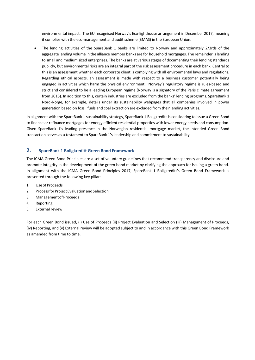environmental impact. The EU recognised Norway's Eco-lighthouse arrangement in December 2017, meaning it complies with the eco-management and audit scheme (EMAS) in the European Union.

 The lending activities of the SpareBank 1 banks are limited to Norway and approximately 2/3rds of the aggregate lending volume in the alliance member banks are for household mortgages. The remainder is lending to small and medium sized enterprises. The banks are at various stages of documenting their lending standards publicly, but environmental risks are an integral part of the risk assessment procedure in each bank. Central to this is an assessment whether each corporate client is complying with all environmental laws and regulations. Regarding ethical aspects, an assessment is made with respect to a business customer potentially being engaged in activities which harm the physical environment. Norway's regulatory regime is rules-based and strict and considered to be a leading European regime (Norway is a signatory of the Paris climate agreement from 2015). In addition to this, certain industries are excluded from the banks' lending programs. SpareBank 1 Nord-Norge, for example, details under its sustainability webpages that all companies involved in power generation based on fossil fuels and coal extraction are excluded from their lending activities.

In alignment with the SpareBank 1 sustainability strategy, SpareBank 1 Boligkreditt is considering to issue a Green Bond to finance or refinance mortgages for energy efficient residential properties with lower energy needs and consumption. Given SpareBank 1's leading presence in the Norwegian residential mortgage market, the intended Green Bond transaction serves as a testament to SpareBank 1's leadership and commitment to sustainability.

#### <span id="page-3-0"></span>**2. SpareBank 1 Boligkreditt Green Bond Framework**

The ICMA Green Bond Principles are a set of voluntary guidelines that recommend transparency and disclosure and promote integrity in the development of the green bond market by clarifying the approach for issuing a green bond. In alignment with the ICMA Green Bond Principles 2017, SpareBank 1 Boligkreditt's Green Bond Framework is presented through the following key pillars:

- 1. UseofProceeds
- 2. Process for Project Evaluation and Selection
- 3. ManagementofProceeds
- 4. Reporting
- 5. External review

For each Green Bond issued, (i) Use of Proceeds (ii) Project Evaluation and Selection (iii) Management of Proceeds, (iv) Reporting, and (v) External review will be adopted subject to and in accordance with this Green Bond Framework as amended from time to time.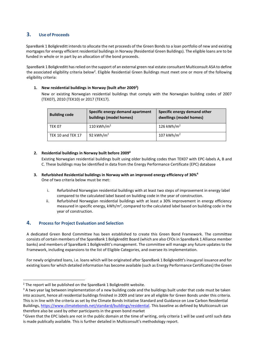#### <span id="page-4-0"></span>**3. Use of Proceeds**

SpareBank 1 Boligkreditt intends to allocate the net proceeds of the Green Bonds to a loan portfolio of new and existing mortgages for energy efficient residential buildings in Norway (Residential Green Buildings). The eligible loans are to be funded in whole or in part by an allocation of the bond proceeds.

SpareBank 1 Boligkreditt has relied on the support of an external green real estate consultant Multiconsult ASA to define the associated eligibility criteria below<sup>2</sup>. Eligible Residential Green Buildings must meet one or more of the following eligibility criteria:

#### **1. New residential buildings in Norway (built after 2009<sup>3</sup> )**

New or existing Norwegian residential buildings that comply with the Norwegian building codes of 2007 (TEK07), 2010 (TEK10) or 2017 (TEK17).

| <b>Building code</b> | Specific energy demand apartment<br>buildings (model homes) | Specific energy demand other<br>dwellings (model homes) |
|----------------------|-------------------------------------------------------------|---------------------------------------------------------|
| <b>TEK 07</b>        | 110 kWh/m <sup>2</sup>                                      | 126 kWh/m <sup>2</sup>                                  |
| TEK 10 and TEK 17    | 92 kWh/ $m2$                                                | 107 kWh/ $m2$                                           |

#### **2. Residential buildings in Norway built before 2009 4**

Existing Norwegian residential buildings built using older building codes than TEK07 with EPC-labels A, B and C. These buildings may be identified in data from the Energy Performance Certificate (EPC) database

- **3. Refurbished Residential buildings in Norway with an improved energy efficiency of 30%<sup>4</sup>** One of two criteria below must be met:
	- i. Refurbished Norwegian residential buildings with at least two steps of improvement in energy label compared to the calculated label based on building code in the year of construction.
	- ii. Refurbished Norwegian residential buildings with at least a 30% improvement in energy efficiency measured in specific energy, kWh/m<sup>2</sup>, compared to the calculated label based on building code in the year of construction.

#### <span id="page-4-1"></span>**4. Process for Project Evaluation and Selection**

A dedicated Green Bond Committee has been established to create this Green Bond Framework. The committee consists of certain members of the SpareBank 1 Boligkreditt Board (which are also CFOs in SpareBank 1 Alliance member banks) and members of SpareBank 1 Boligkreditt's management. The committee will manage any future updates to the Framework, including expansions to the list of Eligible Categories, and oversee its implementation.

For newly originated loans, i.e. loans which will be originated after SpareBank 1 Boligkreditt's inaugural issuance and for existing loans for which detailed information has become available (such as Energy Performance Certificates) the Green

-

<sup>&</sup>lt;sup>2</sup> The report will be published on the SpareBank 1 Boligkreditt website.

<sup>&</sup>lt;sup>3</sup> A two year lag between implementation of a new building code and the buildings built under that code must be taken into account, hence all residential buildings finished in 2009 and later are all eligible for Green Bonds under this criteria. This is in line with the criteria as set by the Climate Bonds Initiative Standard and Guidance on Low Carbon Residential Buildings[, https://www.climatebonds.net/standard/buildings/residential.](https://www.climatebonds.net/standard/buildings/residential) This baseline as defined by Multiconsult can therefore also be used by other participants in the green bond market

<sup>&</sup>lt;sup>4</sup> Given that the EPC labels are not in the public domain at the time of writing, only criteria 1 will be used until such data is made publically available. This is further detailed in Multiconsult's methodology report.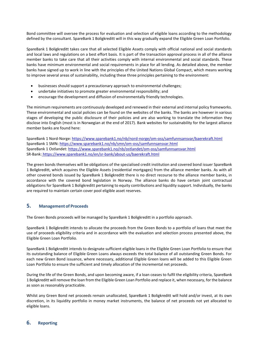Bond committee will oversee the process for evaluation and selection of eligible loans according to the methodology defined by the consultant. SpareBank 1 Boligkreditt will in this way gradually expand the Eligible Green Loan Portfolio.

SpareBank 1 Boligkreditt takes care that all selected Eligible Assets comply with official national and social standards and local laws and regulations on a best effort basis. It is part of the transaction approval process in all of the alliance member banks to take care that all their activities comply with internal environmental and social standards. These banks have minimum environmental and social requirements in place for all lending. As detailed above, the member banks have signed up to work in line with the principles of the United Nations Global Compact, which means working to improve several areas of sustainability, including these three principles pertaining to the environment:

- businesses should support a precautionary approach to environmental challenges;
- undertake initiatives to promote greater environmental responsibility; and
- encourage the development and diffusion of environmentally friendly technologies.

The minimum requirements are continuously developed and renewed in their external and internal policy frameworks. These environmental and social policies can be found on the websites of the banks. The banks are however in various stages of developing the public disclosure of their policies and are also working to translate the information they disclose into English (most is in Norwegian at the end of 2017). Bank websites for sustainability for the largest alliance member banks are found here:

SpareBank 1 Nord-Norge:<https://www.sparebank1.no/nb/nord-norge/om-oss/samfunnsansvar/baerekraft.html> SpareBank 1 SMN:<https://www.sparebank1.no/nb/smn/om-oss/samfunnsansvar.html> SpareBank 1 Ostlandet[: https://www.sparebank1.no/nb/ostlandet/om-oss/samfunnsansvar.html](https://www.sparebank1.no/nb/ostlandet/om-oss/samfunnsansvar.html) SR-Bank: <https://www.sparebank1.no/en/sr-bank/about-us/baerekraft.html>

The green bonds themselves will be obligations of the specialised credit institution and covered bond issuer SpareBank 1 Boligkreditt, which acquires the Eligible Assets (residential mortgages) from the alliance member banks. As with all other covered bonds issued by SpareBank 1 Boligkreditt there is no direct recourse to the alliance member banks, in accordance with the covered bond legislation in Norway. The alliance banks do have certain joint contractual obligations for SpareBank 1 Boligkreditt pertaining to equity contributions and liquidity support. Individually, the banks are required to maintain certain cover pool eligible asset reserves.

#### <span id="page-5-0"></span>**5. Management of Proceeds**

The Green Bonds proceeds will be managed by SpareBank 1 Boligkreditt in a portfolio approach.

SpareBank 1 Boligkreditt intends to allocate the proceeds from the Green Bonds to a portfolio of loans that meet the use of proceeds eligibility criteria and in accordance with the evaluation and selection process presented above, the Eligible Green Loan Portfolio.

SpareBank 1 Boligkreditt intends to designate sufficient eligible loans in the Eligible Green Loan Portfolio to ensure that its outstanding balance of Eligible Green Loans always exceeds the total balance of all outstanding Green Bonds. For each new Green Bond issuance, where necessary, additional Eligible Green loans will be added to this Eligible Green Loan Portfolio to ensure the sufficient and timely allocation of the incremental net proceeds.

During the life of the Green Bonds, and upon becoming aware, if a loan ceases to fulfil the eligibility criteria, SpareBank 1 Boligkreditt will remove the loan from the Eligible Green Loan Portfolio and replace it, when necessary, for the balance as soon as reasonably practicable.

Whilst any Green Bond net proceeds remain unallocated, SpareBank 1 Boligkreditt will hold and/or invest, at its own discretion, in its liquidity portfolio in money market instruments, the balance of net proceeds not yet allocated to eligible loans.

#### <span id="page-5-1"></span>**6. Reporting**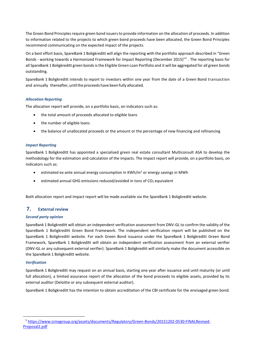The Green Bond Principles require green bond issuers to provide information on the allocation of proceeds. In addition to information related to the projects to which green bond proceeds have been allocated, the Green Bond Principles recommend communicating on the expected impact of the projects.

On a best effort basis, SpareBank 1 Boligkreditt will align the reporting with the portfolio approach described in "Green Bonds - working towards a Harmonized Framework for Impact Reporting (December 2015)"<sup>5</sup>. The reporting basis for all SpareBank 1 Boligkreditt green bonds is the Eligible Green Loan Portfolio and it will be aggregated for all green bonds outstanding.

SpareBank 1 Boligkreditt intends to report to investors within one year from the date of a Green Bond transaction and annually thereafter, until the proceeds have been fully allocated.

#### *Allocation Reporting*

The allocation report will provide, on a portfolio basis, on indicators such as:

- the total amount of proceeds allocated to eligible loans
- the number of eligible loans
- the balance of unallocated proceeds or the amount or the percentage of new financing and refinancing

#### *Impact Reporting*

SpareBank 1 Boligkreditt has appointed a specialised green real estate consultant Multiconsult ASA to develop the methodology for the estimation and calculation of the impacts. The impact report will provide, on a portfolio basis, on indicators such as:

- estimated ex-ante annual energy consumption in KWh/ $m<sup>2</sup>$  or energy savings in MWh
- estimated annual GHG emissions reduced/avoided in tons of CO<sub>2</sub> equivalent

<span id="page-6-0"></span>Both allocation report and impact report will be made available via the SpareBank 1 Boligkreditt website.

#### **7. External review**

#### *Second party opinion*

SpareBank 1 Boligkreditt will obtain an independent verification assessment from DNV-GL to confirm the validity of the SpareBank 1 Boligkreditt Green Bond Framework. The independent verification report will be published on the SpareBank 1 Boligkreditt website. For each Green Bond issuance under the SpareBank 1 Boligkreditt Green Bond Framework, SpareBank 1 Boligkreditt will obtain an independent verification assessment from an external verifier (DNV-GL or any subsequent external verifier). SpareBank 1 Boligkreditt will similarly make the document accessible on the SpareBank 1 Boligkreditt website.

#### *Verification*

1

SpareBank 1 Boligkreditt may request on an annual basis, starting one year after issuance and until maturity (or until full allocation), a limited assurance report of the allocation of the bond proceeds to eligible assets, provided by its external auditor (Deloitte or any subsequent external auditor).

SpareBank 1 Boligkreditt has the intention to obtain accreditation of the CBI certificate for the envisaged green bond.

<sup>5</sup> <sup>5</sup> [https://www.icmagroup.org/assets/documents/Regulatory/Green-Bonds/20151202-0530-FINALRevised-](https://www.icmagroup.org/assets/documents/Regulatory/Green-Bonds/20151202-0530-FINALRevised-Proposal2.pdf)[Proposal2.pdf](https://www.icmagroup.org/assets/documents/Regulatory/Green-Bonds/20151202-0530-FINALRevised-Proposal2.pdf)